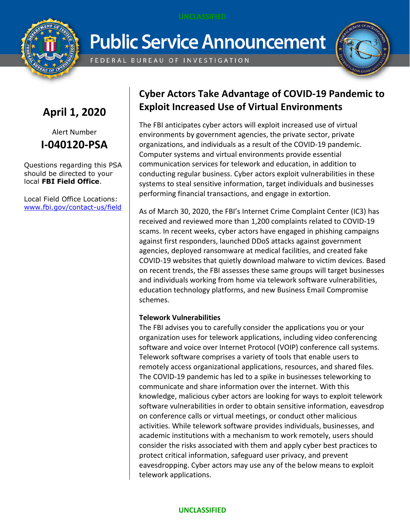

# **Public Service Announcement**

FEDERAL BUREAU OF INVESTIGATION



# **April 1, 2020**

Alert Number **I-040120-PSA**

Questions regarding this PSA should be directed to your local **FBI Field Office**.

Local Field Office Locations: [www.fbi.gov/contact-us/field](http://www.fbi.gov/contact-us/field)

## **Cyber Actors Take Advantage of COVID-19 Pandemic to Exploit Increased Use of Virtual Environments**

The FBI anticipates cyber actors will exploit increased use of virtual environments by government agencies, the private sector, private organizations, and individuals as a result of the COVID-19 pandemic. Computer systems and virtual environments provide essential communication services for telework and education, in addition to conducting regular business. Cyber actors exploit vulnerabilities in these systems to steal sensitive information, target individuals and businesses performing financial transactions, and engage in extortion.

As of March 30, 2020, the FBI's Internet Crime Complaint Center (IC3) has received and reviewed more than 1,200 complaints related to COVID-19 scams. In recent weeks, cyber actors have engaged in phishing campaigns against first responders, launched DDoS attacks against government agencies, deployed ransomware at medical facilities, and created fake COVID-19 websites that quietly download malware to victim devices. Based on recent trends, the FBI assesses these same groups will target businesses and individuals working from home via telework software vulnerabilities, education technology platforms, and new Business Email Compromise schemes.

### **Telework Vulnerabilities**

The FBI advises you to carefully consider the applications you or your organization uses for telework applications, including video conferencing software and voice over Internet Protocol (VOIP) conference call systems. Telework software comprises a variety of tools that enable users to remotely access organizational applications, resources, and shared files. The COVID-19 pandemic has led to a spike in businesses teleworking to communicate and share information over the internet. With this knowledge, malicious cyber actors are looking for ways to exploit telework software vulnerabilities in order to obtain sensitive information, eavesdrop on conference calls or virtual meetings, or conduct other malicious activities. While telework software provides individuals, businesses, and academic institutions with a mechanism to work remotely, users should consider the risks associated with them and apply cyber best practices to protect critical information, safeguard user privacy, and prevent eavesdropping. Cyber actors may use any of the below means to exploit telework applications.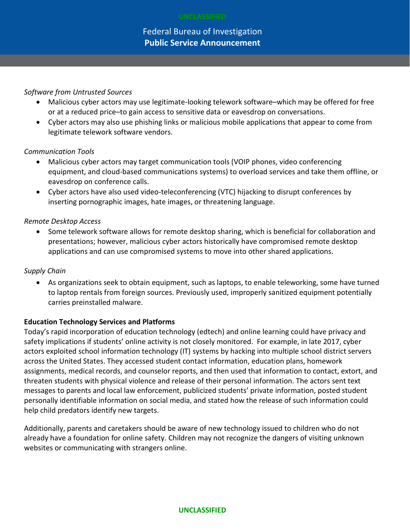#### *Software from Untrusted Sources*

- Malicious cyber actors may use legitimate-looking telework software–which may be offered for free or at a reduced price–to gain access to sensitive data or eavesdrop on conversations.
- Cyber actors may also use phishing links or malicious mobile applications that appear to come from legitimate telework software vendors.

#### *Communication Tools*

- Malicious cyber actors may target communication tools (VOIP phones, video conferencing equipment, and cloud-based communications systems) to overload services and take them offline, or eavesdrop on conference calls.
- Cyber actors have also used video-teleconferencing (VTC) hijacking to disrupt conferences by inserting pornographic images, hate images, or threatening language.

#### *Remote Desktop Access*

 Some telework software allows for remote desktop sharing, which is beneficial for collaboration and presentations; however, malicious cyber actors historically have compromised remote desktop applications and can use compromised systems to move into other shared applications.

#### *Supply Chain*

 As organizations seek to obtain equipment, such as laptops, to enable teleworking, some have turned to laptop rentals from foreign sources. Previously used, improperly sanitized equipment potentially carries preinstalled malware.

#### **Education Technology Services and Platforms**

Today's rapid incorporation of education technology (edtech) and online learning could have privacy and safety implications if students' online activity is not closely monitored. For example, in late 2017, cyber actors exploited school information technology (IT) systems by hacking into multiple school district servers across the United States. They accessed student contact information, education plans, homework assignments, medical records, and counselor reports, and then used that information to contact, extort, and threaten students with physical violence and release of their personal information. The actors sent text messages to parents and local law enforcement, publicized students' private information, posted student personally identifiable information on social media, and stated how the release of such information could help child predators identify new targets.

Additionally, parents and caretakers should be aware of new technology issued to children who do not already have a foundation for online safety. Children may not recognize the dangers of visiting unknown websites or communicating with strangers online.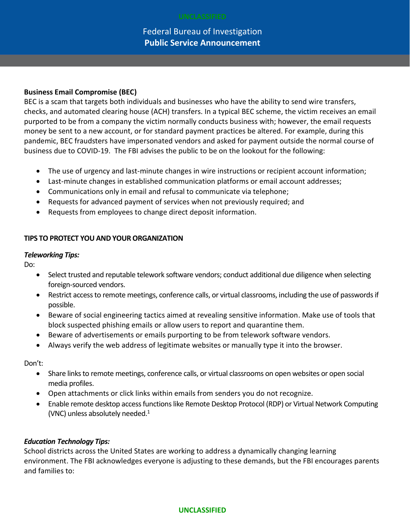Federal Bureau of Investigation **Public Service Announcement**

#### **Business Email Compromise (BEC)**

BEC is a scam that targets both individuals and businesses who have the ability to send wire transfers, checks, and automated clearing house (ACH) transfers. In a typical BEC scheme, the victim receives an email purported to be from a company the victim normally conducts business with; however, the email requests money be sent to a new account, or for standard payment practices be altered. For example, during this pandemic, BEC fraudsters have impersonated vendors and asked for payment outside the normal course of business due to COVID-19. The FBI advises the public to be on the lookout for the following:

- The use of urgency and last-minute changes in wire instructions or recipient account information;
- Last-minute changes in established communication platforms or email account addresses;
- Communications only in email and refusal to communicate via telephone;
- Requests for advanced payment of services when not previously required; and
- Requests from employees to change direct deposit information.

#### **TIPS TO PROTECT YOU AND YOUR ORGANIZATION**

#### *Teleworking Tips:*

Do:

- Select trusted and reputable telework software vendors; conduct additional due diligence when selecting foreign-sourced vendors.
- Restrict access to remote meetings, conference calls, or virtual classrooms, including the use of passwords if possible.
- Beware of social engineering tactics aimed at revealing sensitive information. Make use of tools that block suspected phishing emails or allow users to report and quarantine them.
- Beware of advertisements or emails purporting to be from telework software vendors.
- Always verify the web address of legitimate websites or manually type it into the browser.

Don't:

- Share links to remote meetings, conference calls, or virtual classrooms on open websites or open social media profiles.
- Open attachments or click links within emails from senders you do not recognize.
- Enable remote desktop access functions like Remote Desktop Protocol (RDP) or Virtual Network Computing (VNC) unless absolutely needed. 1

#### *Education Technology Tips:*

School districts across the United States are working to address a dynamically changing learning environment. The FBI acknowledges everyone is adjusting to these demands, but the FBI encourages parents and families to: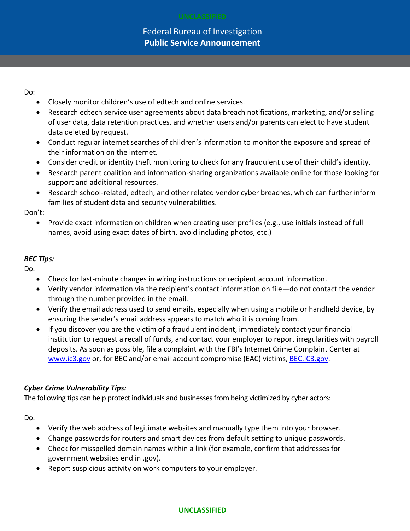### Federal Bureau of Investigation **Public Service Announcement**

Do:

- Closely monitor children's use of edtech and online services.
- Research edtech service user agreements about data breach notifications, marketing, and/or selling of user data, data retention practices, and whether users and/or parents can elect to have student data deleted by request.
- Conduct regular internet searches of children's information to monitor the exposure and spread of their information on the internet.
- Consider credit or identity theft monitoring to check for any fraudulent use of their child's identity.
- Research parent coalition and information-sharing organizations available online for those looking for support and additional resources.
- Research school-related, edtech, and other related vendor cyber breaches, which can further inform families of student data and security vulnerabilities.

Don't:

 Provide exact information on children when creating user profiles (e.g., use initials instead of full names, avoid using exact dates of birth, avoid including photos, etc.)

#### *BEC Tips:*

Do:

- Check for last-minute changes in wiring instructions or recipient account information.
- Verify vendor information via the recipient's contact information on file—do not contact the vendor through the number provided in the email.
- Verify the email address used to send emails, especially when using a mobile or handheld device, by ensuring the sender's email address appears to match who it is coming from.
- If you discover you are the victim of a fraudulent incident, immediately contact your financial institution to request a recall of funds, and contact your employer to report irregularities with payroll deposits. As soon as possible, file a complaint with the FBI's Internet Crime Complaint Center at www.ic3.gov or, for BEC and/or email account compromise (EAC) victims, **BEC.IC3.gov**.

### *Cyber Crime Vulnerability Tips:*

The following tips can help protect individuals and businesses from being victimized by cyber actors:

Do:

- Verify the web address of legitimate websites and manually type them into your browser.
- Change passwords for routers and smart devices from default setting to unique passwords.
- Check for misspelled domain names within a link (for example, confirm that addresses for government websites end in .gov).
- Report suspicious activity on work computers to your employer.